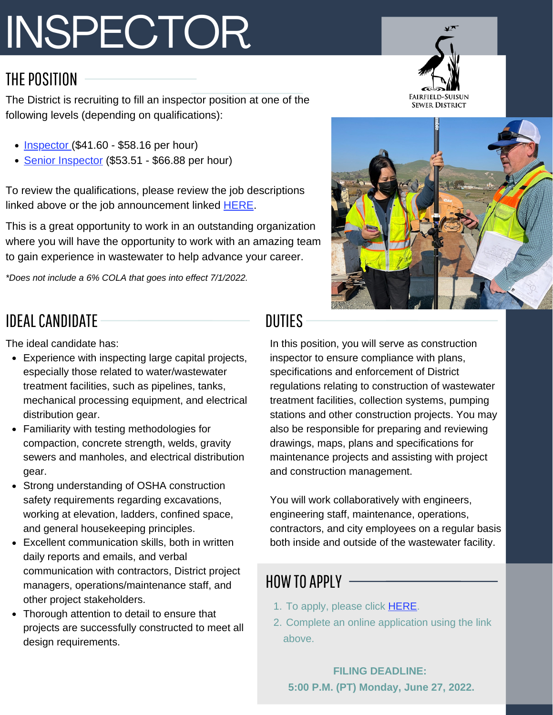# INSPECTOR

#### THE POSITION

The District is recruiting to fill an inspector position at one of the following levels (depending on qualifications):

- $\cdot$  [Inspector](https://www.governmentjobs.com/careers/fairfieldsuisunsew/classspecs/1473622?keywords=inspector&pagetype=classSpecifications) (\$41.60 \$58.16 per hour)
- Senior [Inspector](https://www.governmentjobs.com/careers/fairfieldsuisunsew/classspecs/1473625?keywords=inspector&pagetype=classSpecifications) (\$53.51 \$66.88 per hour)

To review the qualifications, please review the job descriptions linked above or the job announcement linked [HERE.](https://www.governmentjobs.com/careers/fairfieldsuisunsew/jobs/3575051/senior-inspector-inspector-doq?pagetype=jobOpportunitiesJobs)

This is a great opportunity to work in an outstanding organization where you will have the opportunity to work with an amazing team to gain experience in wastewater to help advance your career.

*\*Does not include a 6% COLA that goes into effect 7/1/2022.*

## IDEALCANDIDATE

The ideal candidate has:

- Experience with inspecting large capital projects, especially those related to water/wastewater treatment facilities, such as pipelines, tanks, mechanical processing equipment, and electrical distribution gear.
- Familiarity with testing methodologies for compaction, concrete strength, welds, gravity sewers and manholes, and electrical distribution dear.
- Strong understanding of OSHA construction safety requirements regarding excavations, working at elevation, ladders, confined space, and general housekeeping principles.
- Excellent communication skills, both in written daily reports and emails, and verbal communication with contractors, District project managers, operations/maintenance staff, and other project stakeholders.
- Thorough attention to detail to ensure that projects are successfully constructed to meet all design requirements.

# DUTIES

In this position, you will serve as construction inspector to ensure compliance with plans, specifications and enforcement of District regulations relating to construction of wastewater treatment facilities, collection systems, pumping stations and other construction projects. You may also be responsible for preparing and reviewing drawings, maps, plans and specifications for maintenance projects and assisting with project and construction management.

You will work collaboratively with engineers, engineering staff, maintenance, operations, contractors, and city employees on a regular basis both inside and outside of the wastewater facility.

### HOW TO APPLY -

- 1. To apply, please click **HERE**.
- 2. Complete an online application using the link above.

#### **FILING DEADLINE: 5:00 P.M. (PT) Monday, June 27, 2022.**